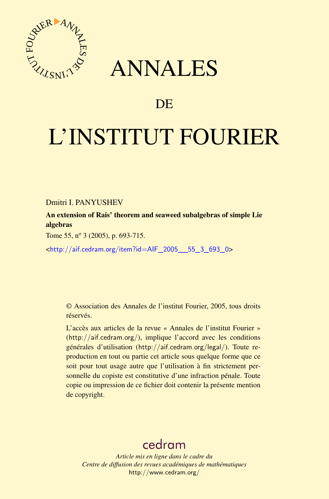



# DE

# L'INSTITUT FOURIER

Dmitri I. PANYUSHEV

An extension of Rais' theorem and seaweed subalgebras of simple Lie algebras

Tome 55, nº 3 (2005), p. 693-715.

<[http://aif.cedram.org/item?id=AIF\\_2005\\_\\_55\\_3\\_693\\_0](http://aif.cedram.org/item?id=AIF_2005__55_3_693_0)>

© Association des Annales de l'institut Fourier, 2005, tous droits réservés.

L'accès aux articles de la revue « Annales de l'institut Fourier » (<http://aif.cedram.org/>), implique l'accord avec les conditions générales d'utilisation (<http://aif.cedram.org/legal/>). Toute reproduction en tout ou partie cet article sous quelque forme que ce soit pour tout usage autre que l'utilisation à fin strictement personnelle du copiste est constitutive d'une infraction pénale. Toute copie ou impression de ce fichier doit contenir la présente mention de copyright.

# [cedram](http://www.cedram.org/)

*Article mis en ligne dans le cadre du Centre de diffusion des revues académiques de mathématiques* <http://www.cedram.org/>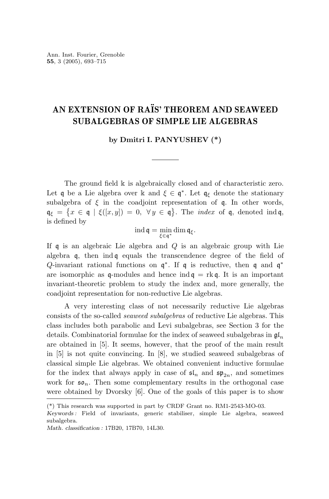## **AN EXTENSION OF RAÏS' THEOREM AND SEAWEED SUBALGEBRAS OF SIMPLE LIE ALGEBRAS**

**by Dmitri I. PANYUSHEV (\*)**

The ground field  $\Bbbk$  is algebraically closed and of characteristic zero. Let q be a Lie algebra over k and  $\xi \in \mathfrak{q}^*$ . Let  $\mathfrak{q}_{\xi}$  denote the stationary subalgebra of  $\xi$  in the coadjoint representation of  $\mathfrak{q}$ . In other words,  $\mathfrak{q}_{\xi} = \{x \in \mathfrak{q} \mid \xi([x,y]) = 0, \forall y \in \mathfrak{q}\}.$  The *index* of  $\mathfrak{q}$ , denoted ind  $\mathfrak{q}$ , is defined by

$$
\operatorname{ind} \mathfrak{q} = \min_{\xi \in \mathfrak{q}^*} \operatorname{dim} \mathfrak{q}_{\xi}.
$$

If q is an algebraic Lie algebra and *Q* is an algebraic group with Lie algebra q, then ind q equals the transcendence degree of the field of *Q*-invariant rational functions on q<sup>∗</sup>. If q is reductive, then q and q<sup>∗</sup> are isomorphic as q-modules and hence ind  $q = \text{rk } q$ . It is an important invariant-theoretic problem to study the index and, more generally, the coadjoint representation for non-reductive Lie algebras.

A very interesting class of not necessarily reductive Lie algebras consists of the so-called seaweed subalgebras of reductive Lie algebras. This class includes both parabolic and Levi subalgebras, see Section 3 for the details. Combinatorial formulae for the index of seaweed subalgebras in gl*<sup>n</sup>* are obtained in [5]. It seems, however, that the proof of the main result in [5] is not quite convincing. In [8], we studied seaweed subalgebras of classical simple Lie algebras. We obtained convenient inductive formulae for the index that always apply in case of  $\mathfrak{sl}_n$  and  $\mathfrak{sp}_{2n}$ , and sometimes work for  $\mathfrak{so}_n$ . Then some complementary results in the orthogonal case were obtained by Dvorsky [6]. One of the goals of this paper is to show

<sup>(\*)</sup> This research was supported in part by CRDF Grant no. RM1-2543-MO-03.

*Keywords :* Field of invariants, generic stabiliser, simple Lie algebra, seaweed subalgebra.

*Math. classification :* 17B20, 17B70, 14L30.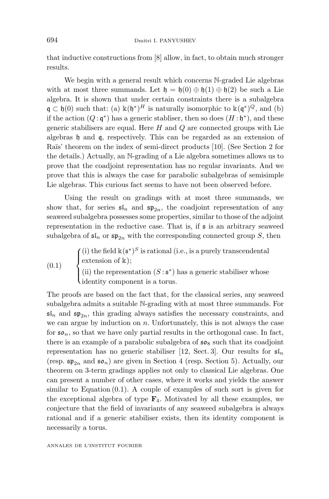that inductive constructions from [8] allow, in fact, to obtain much stronger results.

We begin with a general result which concerns N-graded Lie algebras with at most three summands. Let  $\mathfrak{h} = \mathfrak{h}(0) \oplus \mathfrak{h}(1) \oplus \mathfrak{h}(2)$  be such a Lie algebra. It is shown that under certain constraints there is a subalgebra  $\mathfrak{q} \subset \mathfrak{h}(0)$  such that: (a)  $\mathbb{k}(\mathfrak{h}^*)^H$  is naturally isomorphic to  $\mathbb{k}(\mathfrak{q}^*)^Q$ , and (b) if the action  $(Q: \mathfrak{q}^*)$  has a generic stabliser, then so does  $(H: \mathfrak{h}^*)$ , and these generic stabilisers are equal. Here *H* and *Q* are connected groups with Lie algebras h and q, respectively. This can be regarded as an extension of Raïs' theorem on the index of semi-direct products [10]. (See Section 2 for the details.) Actually, an N-grading of a Lie algebra sometimes allows us to prove that the coadjoint representation has no regular invariants. And we prove that this is always the case for parabolic subalgebras of semisimple Lie algebras. This curious fact seems to have not been observed before.

Using the result on gradings with at most three summands, we show that, for series  $\mathfrak{sl}_n$  and  $\mathfrak{sp}_{2n}$ , the coadjoint representation of any seaweed subalgebra possesses some properties, similar to those of the adjoint representation in the reductive case. That is, if  $\frak{s}$  is an arbitrary seaweed subalgebra of  $\mathfrak{sl}_n$  or  $\mathfrak{sp}_{2n}$  with the corresponding connected group *S*, then

(0.1)   
\n
$$
\begin{cases}\n(i) \text{ the field } \mathbb{k}(\mathfrak{s}^*)^S \text{ is rational (i.e., is a purely transcendental extension of } \mathbb{k});\\
(ii) \text{ the representation } (S: \mathfrak{s}^*) \text{ has a generic stabiliser whose identity component is a torus.}\n\end{cases}
$$

The proofs are based on the fact that, for the classical series, any seaweed subalgebra admits a suitable N-grading with at most three summands. For  $\mathfrak{sl}_n$  and  $\mathfrak{sp}_{2n}$ , this grading always satisfies the necessary constraints, and we can argue by induction on *n*. Unfortunately, this is not always the case for  $\mathfrak{so}_n$ , so that we have only partial results in the orthogonal case. In fact, there is an example of a parabolic subalgebra of  $\mathfrak{so}_8$  such that its coadjoint representation has no generic stabiliser [12, Sect. 3]. Our results for  $\mathfrak{sl}_n$ (resp.  $\mathfrak{sp}_{2n}$  and  $\mathfrak{so}_n$ ) are given in Section 4 (resp. Section 5). Actually, our theorem on 3-term gradings applies not only to classical Lie algebras. One can present a number of other cases, where it works and yields the answer similar to Equation  $(0.1)$ . A couple of examples of such sort is given for the exceptional algebra of type  $\mathbf{F}_4$ . Motivated by all these examples, we conjecture that the field of invariants of any seaweed subalgebra is always rational and if a generic stabiliser exists, then its identity component is necessarily a torus.

ANNALES DE L'INSTITUT FOURIER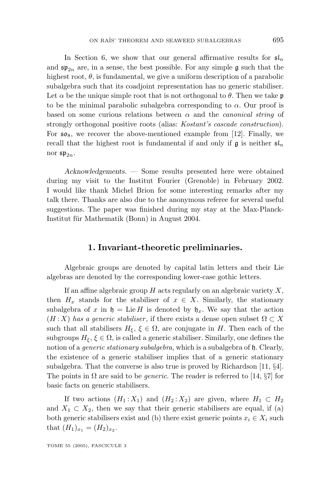In Section 6, we show that our general affirmative results for  $\mathfrak{sl}_n$ and  $\mathfrak{sp}_{2n}$  are, in a sense, the best possible. For any simple g such that the highest root,  $\theta$ , is fundamental, we give a uniform description of a parabolic subalgebra such that its coadjoint representation has no generic stabiliser. Let  $\alpha$  be the unique simple root that is not orthogonal to  $\theta$ . Then we take p to be the minimal parabolic subalgebra corresponding to  $\alpha$ . Our proof is based on some curious relations between  $\alpha$  and the *canonical string* of strongly orthogonal positive roots (alias: Kostant's cascade construction). For  $\mathfrak{so}_8$ , we recover the above-mentioned example from [12]. Finally, we recall that the highest root is fundamental if and only if  $\mathfrak g$  is neither  $\mathfrak s$ <sup>[n</sup> nor  $\mathfrak{sp}_{2n}$ .

*Acknowledgements.* — Some results presented here were obtained during my visit to the Institut Fourier (Grenoble) in February 2002. I would like thank Michel Brion for some interesting remarks after my talk there. Thanks are also due to the anonymous referee for several useful suggestions. The paper was finished during my stay at the Max-Planck-Institut für Mathematik (Bonn) in August 2004.

#### 1. Invariant-theoretic preliminaries.

Algebraic groups are denoted by capital latin letters and their Lie algebras are denoted by the corresponding lower-case gothic letters.

If an affine algebraic group *H* acts regularly on an algebraic variety *X*, then  $H_x$  stands for the stabiliser of  $x \in X$ . Similarly, the stationary subalgebra of x in  $\mathfrak{h} = \text{Lie } H$  is denoted by  $\mathfrak{h}_x$ . We say that the action  $(H: X)$  has a generic stabiliser, if there exists a dense open subset  $\Omega \subset X$ such that all stabilisers  $H_{\xi}$ ,  $\xi \in \Omega$ , are conjugate in *H*. Then each of the subgroups  $H_{\xi}$ ,  $\xi \in \Omega$ , is called a generic stabiliser. Similarly, one defines the notion of a *generic stationary subalgebra*, which is a subalgebra of h. Clearly, the existence of a generic stabiliser implies that of a generic stationary subalgebra. That the converse is also true is proved by Richardson [11, §4]. The points in  $\Omega$  are said to be *generic*. The reader is referred to [14, §7] for basic facts on generic stabilisers.

If two actions  $(H_1: X_1)$  and  $(H_2: X_2)$  are given, where  $H_1 \subset H_2$ and  $X_1 \subset X_2$ , then we say that their generic stabilisers are equal, if (a) both generic stabilisers exist and (b) there exist generic points  $x_i \in X_i$  such that  $(H_1)_{x_1} = (H_2)_{x_2}$ .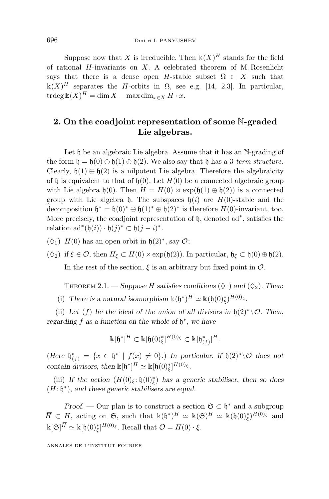Suppose now that *X* is irreducible. Then  $\mathbb{k}(X)^H$  stands for the field of rational *H*-invariants on *X*. A celebrated theorem of M. Rosenlicht says that there is a dense open *H*-stable subset  $\Omega \subset X$  such that  $\kappa(X)^H$  separates the *H*-orbits in  $\Omega$ , see e.g. [14, 2.3]. In particular,  $\operatorname{trdeg}$   $\mathbb{K}(X)^H = \dim X - \max \dim_{x \in X} H \cdot x$ .

#### **2. On the coadjoint representation of some** N**-graded Lie algebras.**

Let  $\mathfrak h$  be an algebraic Lie algebra. Assume that it has an N-grading of the form  $\mathfrak{h} = \mathfrak{h}(0) \oplus \mathfrak{h}(1) \oplus \mathfrak{h}(2)$ . We also say that  $\mathfrak{h}$  has a 3-term structure. Clearly,  $h(1) \oplus h(2)$  is a nilpotent Lie algebra. Therefore the algebraicity of h is equivalent to that of  $h(0)$ . Let  $H(0)$  be a connected algebraic group with Lie algebra  $\mathfrak{h}(0)$ . Then  $H = H(0) \rtimes \exp(\mathfrak{h}(1) \oplus \mathfrak{h}(2))$  is a connected group with Lie algebra  $\mathfrak{h}$ . The subspaces  $\mathfrak{h}(i)$  are  $H(0)$ -stable and the decomposition  $\mathfrak{h}^* = \mathfrak{h}(0)^* \oplus \mathfrak{h}(1)^* \oplus \mathfrak{h}(2)^*$  is therefore  $H(0)$ -invariant, too. More precisely, the coadjoint representation of h, denoted ad∗, satisfies the relation ad<sup>\*</sup>( $\mathfrak{h}(i)$ ) ·  $\mathfrak{h}(j)$ <sup>\*</sup> ⊂  $\mathfrak{h}(j-i)$ <sup>\*</sup>.

- $(\Diamond_1)$  *H*(0) has an open orbit in  $\mathfrak{h}(2)^*$ , say  $\mathcal{O}$ ;
- ( $\Diamond$ <sub>2</sub>) if  $\xi \in \mathcal{O}$ , then  $H_{\xi} \subset H(0) \rtimes \exp(\mathfrak{h}(2))$ . In particular,  $\mathfrak{h}_{\xi} \subset \mathfrak{h}(0) \oplus \mathfrak{h}(2)$ .

In the rest of the section,  $\xi$  is an arbitrary but fixed point in  $\mathcal{O}$ .

THEOREM 2.1. — *Suppose H satisfies conditions*  $(\Diamond_1)$  *and*  $(\Diamond_2)$ *. Then:* 

(i) *There is a natural isomorphism*  $\mathbb{k}(\mathfrak{h}^*)^H \simeq \mathbb{k}(\mathfrak{h}(0)_\xi^*)^{H(0)_\xi}$ .

(ii) Let (f) be the ideal of the union of all divisors in  $\mathfrak{h}(2)^* \setminus \mathcal{O}$ . Then, *regarding f as a function on the whole of* h<sup>∗</sup>, *we have*

$$
\mathbb{k}[\mathfrak{h}^*]^H \subset \mathbb{k}[\mathfrak{h}(0)_{\xi}^*]^{H(0)_{\xi}} \subset \mathbb{k}[\mathfrak{h}_{(f)}^*]^H.
$$

 $(Here \; \mathfrak{h}_{(f)}^* = \{x \in \mathfrak{h}^* \; | \; f(x) \neq 0\}$ .) In particular, if  $\mathfrak{h}(2)^* \setminus \mathcal{O}$  does not *contain divisors, then*  $\mathbb{k}[{\mathfrak{h}}^*]^H \simeq \mathbb{k}[{\mathfrak{h}}(0)_{\xi}^*]^H^{(0)}$ *ε*.

(iii) *If the action*  $(H(0)_{\xi}; \mathfrak{h}(0)_{\xi}^{*})$  *has a generic stabiliser, then so does* (*H* : h<sup>∗</sup>), *and these generic stabilisers are equal.*

*Proof.* — Our plan is to construct a section  $\mathfrak{S} \subset \mathfrak{h}^*$  and a subgroup  $\overline{H} \subset H$ , acting on **G**, such that  $\mathbb{k}(\mathfrak{h}^*)^H \simeq \mathbb{k}(\mathfrak{S})^{\overline{H}} \simeq \mathbb{k}(\mathfrak{h}(0)_\xi^*)^{H(0)_\xi}$  and  $\Bbbk[\mathfrak{S}]^{\bar{H}} \simeq \Bbbk[\mathfrak{h}(0)_{\xi}^{*}]^{H(0)_{\xi}}$ . Recall that  $\mathcal{O} = H(0) \cdot \xi$ .

ANNALES DE L'INSTITUT FOURIER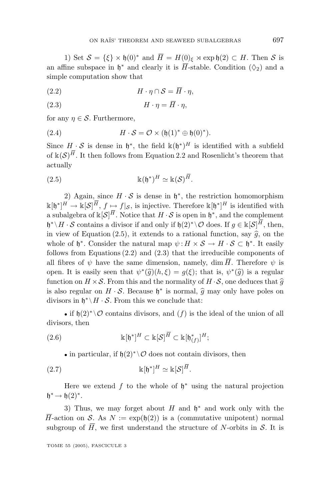1) Set  $S = {\xi} \times \mathfrak{h}(0)^*$  and  $\overline{H} = H(0)_{\xi} \rtimes \exp \mathfrak{h}(2) \subset H$ . Then S is an affine subspace in  $\mathfrak{h}^*$  and clearly it is  $\overline{H}$ -stable. Condition ( $\Diamond_2$ ) and a simple computation show that

(2*.*2) *H* · *η* ∩ S = *H* · *η,*

$$
(2.3) \t\t\t H \cdot \eta = \overline{H} \cdot \eta,
$$

for any  $\eta \in \mathcal{S}$ . Furthermore,

(2.4) 
$$
H \cdot S = \mathcal{O} \times (\mathfrak{h}(1)^* \oplus \mathfrak{h}(0)^*).
$$

Since  $H \cdot S$  is dense in  $\mathfrak{h}^*$ , the field  $\mathbb{k}(\mathfrak{h}^*)^H$  is identified with a subfield of  $\kappa(\mathcal{S})^{\overline{H}}$ . It then follows from Equation 2.2 and Rosenlicht's theorem that actually

(2.5) 
$$
\mathbb{k}(\mathfrak{h}^*)^H \simeq \mathbb{k}(\mathcal{S})^H.
$$

2) Again, since  $H \cdot S$  is dense in  $\mathfrak{h}^*$ , the restriction homomorphism  $\Bbbk[\mathfrak{h}^*]^H \to \Bbbk[\mathcal{S}]^H$ ,  $f \mapsto f|_{\mathcal{S}}$ , is injective. Therefore  $\Bbbk[\mathfrak{h}^*]^H$  is identified with a subalgebra of  $\kappa[\mathcal{S}]^H$ . Notice that  $H \cdot \mathcal{S}$  is open in  $\mathfrak{h}^*$ , and the complement  $\mathfrak{h}^* \setminus H \cdot \mathcal{S}$  contains a divisor if and only if  $\mathfrak{h}(2)^* \setminus \mathcal{O}$  does. If  $g \in \mathbb{k}[\mathcal{S}]^H$ , then, in view of Equation (2.5), it extends to a rational function, say  $\hat{g}$ , on the whole of  $\mathfrak{h}^*$ . Consider the natural map  $\psi: H \times S \to H \cdot S \subset \mathfrak{h}^*$ . It easily follows from Equations (2.2) and (2.3) that the irreducible components of all fibres of  $\psi$  have the same dimension, namely, dim  $\overline{H}$ . Therefore  $\psi$  is open. It is easily seen that  $\psi^*(\hat{g})(h,\xi) = g(\xi)$ ; that is,  $\psi^*(\hat{g})$  is a regular function on  $H \times S$ . From this and the normality of  $H \cdot S$ , one deduces that  $\hat{g}$ is also regular on  $H \cdot S$ . Because  $\mathfrak{h}^*$  is normal,  $\hat{q}$  may only have poles on divisors in  $\mathfrak{h}^* \backslash H \cdot \mathcal{S}$ . From this we conclude that:

• if  $h(2)^* \setminus \mathcal{O}$  contains divisors, and  $(f)$  is the ideal of the union of all divisors, then

(2.6) 
$$
\mathbb{k}[\mathfrak{h}^*]^H \subset \mathbb{k}[\mathcal{S}]^H \subset \mathbb{k}[\mathfrak{h}^*_{(f)}]^H;
$$

• in particular, if  $h(2)^* \setminus \mathcal{O}$  does not contain divisors, then

(2*.*7) k[h<sup>∗</sup>] *<sup>H</sup>* k[S] *H.*

Here we extend f to the whole of  $h^*$  using the natural projection  $h^* \rightarrow h(2)^*$ .

3) Thus, we may forget about *H* and  $\mathfrak{h}^*$  and work only with the  $\overline{H}$ -action on S. As  $N := \exp(\mathfrak{h}(2))$  is a (commutative unipotent) normal subgroup of  $\overline{H}$ , we first understand the structure of *N*-orbits in S. It is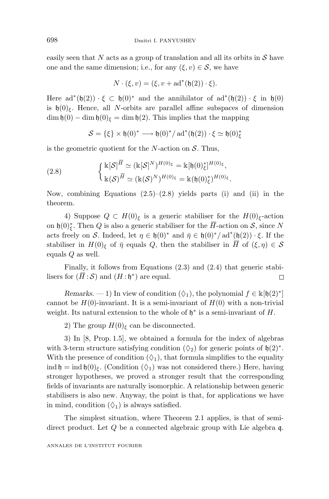easily seen that  $N$  acts as a group of translation and all its orbits in  $S$  have one and the same dimension; i.e., for any  $(\xi, v) \in \mathcal{S}$ , we have

$$
N \cdot (\xi, v) = (\xi, v + ad^*(\mathfrak{h}(2)) \cdot \xi).
$$

Here  $ad^*(\mathfrak{h}(2)) \cdot \xi \subset \mathfrak{h}(0)^*$  and the annihilator of  $ad^*(\mathfrak{h}(2)) \cdot \xi$  in  $\mathfrak{h}(0)$ is  $\mathfrak{h}(0)$ <sub> $\xi$ </sub>. Hence, all *N*-orbits are parallel affine subspaces of dimension  $\dim \mathfrak{h}(0) - \dim \mathfrak{h}(0)_{\xi} = \dim \mathfrak{h}(2)$ . This implies that the mapping

$$
\mathcal{S} = \{\xi\} \times \mathfrak{h}(0)^* \longrightarrow \mathfrak{h}(0)^*/\operatorname{ad}^*(\mathfrak{h}(2)) \cdot \xi \simeq \mathfrak{h}(0)^*_{\xi}
$$

is the geometric quotient for the *N*-action on S. Thus,

(2.8) 
$$
\begin{cases} \mathbb{k}[\mathcal{S}]^{\overline{H}} \simeq (\mathbb{k}[\mathcal{S}]^N)^{H(0)_{\xi}} = \mathbb{k}[\mathfrak{h}(0)_{\xi}^*]^{H(0)_{\xi}},\\ \mathbb{k}(\mathcal{S})^{\overline{H}} \simeq (\mathbb{k}(\mathcal{S})^N)^{H(0)_{\xi}} = \mathbb{k}(\mathfrak{h}(0)_{\xi}^*)^{H(0)_{\xi}}.\end{cases}
$$

Now, combining Equations  $(2.5)$ – $(2.8)$  yields parts (i) and (ii) in the theorem.

4) Suppose *Q* ⊂ *H*(0)<sub>*ξ*</sub> is a generic stabiliser for the *H*(0)<sub>*ξ*</sub>-action on  $\mathfrak{h}(0)_{\xi}^*$ . Then *Q* is also a generic stabiliser for the  $\overline{H}$ -action on *S*, since *N* acts freely on S. Indeed, let  $\eta \in \mathfrak{h}(0)^*$  and  $\overline{\eta} \in \mathfrak{h}(0)^*/\text{ad}^*(\mathfrak{h}(2)) \cdot \xi$ . If the stabiliser in  $H(0)$ <sub>*ξ*</sub> of  $\bar{\eta}$  equals *Q*, then the stabiliser in  $\bar{H}$  of  $(\xi, \eta) \in S$ equals *Q* as well.

Finally, it follows from Equations (2.3) and (2.4) that generic stabilisers for  $(\overline{H} : S)$  and  $(H : \mathfrak{h}^*)$  are equal.  $\Box$ 

*Remarks.* — 1) In view of condition  $(\Diamond_1)$ , the polynomial  $f \in \mathbb{k}[\mathfrak{h}(2)^*]$ cannot be  $H(0)$ -invariant. It is a semi-invariant of  $H(0)$  with a non-trivial weight. Its natural extension to the whole of h<sup>∗</sup> is a semi-invariant of *H*.

2) The group  $H(0)$ <sub>ξ</sub> can be disconnected.

3) In [8, Prop. 1.5], we obtained a formula for the index of algebras with 3-term structure satisfying condition  $(\Diamond_2)$  for generic points of  $\mathfrak{h}(2)^*$ . With the presence of condition  $(\Diamond_1)$ , that formula simplifies to the equality ind  $\mathfrak{h} = \text{ind } \mathfrak{h}(0)_{\xi}$ . (Condition  $(\Diamond_1)$  was not considered there.) Here, having stronger hypotheses, we proved a stronger result that the corresponding fields of invariants are naturally isomorphic. A relationship between generic stabilisers is also new. Anyway, the point is that, for applications we have in mind, condition  $(\Diamond_1)$  is always satisfied.

The simplest situation, where Theorem 2.1 applies, is that of semidirect product. Let *Q* be a connected algebraic group with Lie algebra q.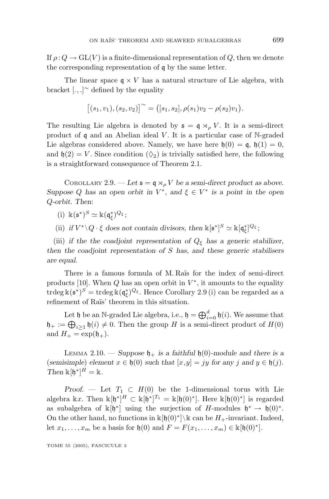If  $\rho: Q \to GL(V)$  is a finite-dimensional representation of *Q*, then we denote the corresponding representation of q by the same letter.

The linear space  $q \times V$  has a natural structure of Lie algebra, with bracket [*.,.*] <sup>∼</sup> defined by the equality

$$
[(s_1, v_1), (s_2, v_2)]^{\sim} = ([s_1, s_2], \rho(s_1)v_2 - \rho(s_2)v_1).
$$

The resulting Lie algebra is denoted by  $\mathfrak{s} = \mathfrak{q} \rtimes_{\rho} V$ . It is a semi-direct product of q and an Abelian ideal *V*. It is a particular case of N-graded Lie algebras considered above. Namely, we have here  $\mathfrak{h}(0) = \mathfrak{q}$ ,  $\mathfrak{h}(1) = 0$ , and  $h(2) = V$ . Since condition  $(\Diamond_2)$  is trivially satisfied here, the following is a straightforward consequence of Theorem 2.1.

COROLLARY 2.9. — Let  $\mathfrak{s} = \mathfrak{q} \rtimes_{\rho} V$  be a semi-direct product as above. *Suppose Q* has an open orbit in  $V^*$ , and  $\xi \in V^*$  is a point in the open *Q-orbit. Then*:

 $(i)$   $\mathbb{K}(\mathfrak{s}^*)^S \simeq \mathbb{K}(\mathfrak{q}_{\xi}^*)^Q \xi$ ;

(ii) *if*  $V^* \setminus Q \cdot \xi$  does not contain divisors, then  $\Bbbk[\mathfrak{s}^*]^S \simeq \Bbbk[\mathfrak{q}^*_{\xi}]^Q \xi$ ;

(iii) *if the the coadjoint representation of*  $Q_{\xi}$  *has a generic stabilizer, then the coadjoint representation of S has*, *and these generic stabilisers are equal.*

There is a famous formula of M. Raïs for the index of semi-direct products [10]. When  $Q$  has an open orbit in  $V^*$ , it amounts to the equality  $\text{trdeg}\,\mathbb{k}(\mathfrak{s}^*)^S = \text{trdeg}\,\mathbb{k}(\mathfrak{q}^*_\xi)^{Q_\xi}$ . Hence Corollary 2.9 (i) can be regarded as a refinement of Raïs' theorem in this situation.

Let  $\mathfrak h$  be an N-graded Lie algebra, i.e.,  $\mathfrak h = \bigoplus_{i=0}^d \mathfrak h(i)$ . We assume that  $\mathfrak{h}_+ := \bigoplus_{i \geq 1} \mathfrak{h}(i) \neq 0$ . Then the group *H* is a semi-direct product of  $H(0)$ and  $H_+ = \exp(\mathfrak{h}_+).$ 

LEMMA 2.10. — *Suppose*  $\mathfrak{h}_+$  *is a faithful*  $\mathfrak{h}(0)$ -module and there is a (*semisimple*) *element*  $x \in \mathfrak{h}(0)$  *such that*  $[x,y] = jy$  *for any j and*  $y \in \mathfrak{h}(j)$ *. Then*  $\kappa[\mathfrak{h}^*]^H = \kappa$ .

*Proof.* — Let  $T_1 \subset H(0)$  be the 1-dimensional torus with Lie algebra kx. Then  $\kappa[\mathfrak{h}^*]^H \subset \kappa[\mathfrak{h}^*]^{T_1} = \kappa[\mathfrak{h}(0)^*]$ . Here  $\kappa[\mathfrak{h}(0)^*]$  is regarded as subalgebra of  $\mathbb{k}[\mathfrak{h}^*]$  using the surjection of *H*-modules  $\mathfrak{h}^* \to \mathfrak{h}(0)^*$ . On the other hand, no functions in  $\kappa[f(0)^*]\&\cosh H_+$ -invariant. Indeed, let  $x_1, \ldots, x_m$  be a basis for  $\mathfrak{h}(0)$  and  $F = F(x_1, \ldots, x_m) \in \mathbb{k}[\mathfrak{h}(0)^*].$ 

TOME 55 (2005), FASCICULE 3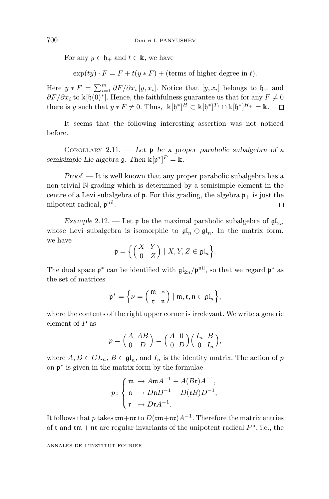For any  $y \in \mathfrak{h}_+$  and  $t \in \mathbb{k}$ , we have

 $\exp(ty) \cdot F = F + t(y * F) + (\text{terms of higher degree in } t).$ 

Here  $y * F = \sum_{i=1}^{m} \partial F / \partial x_i [y, x_i]$ . Notice that  $[y, x_i]$  belongs to  $\mathfrak{h}_+$  and  $\partial F/\partial x_i$  to k[h(0)<sup>∗</sup>]. Hence, the faithfulness guarantee us that for any  $F \neq 0$ there is *y* such that  $y * F \neq 0$ . Thus,  $\mathbb{k}[\mathfrak{h}^*]^H \subset \mathbb{k}[\mathfrak{h}^*]^{\mathrm{T}_1} \cap \mathbb{k}[\mathfrak{h}^*]^{\mathrm{H}_+} = \mathbb{k}$ .  $\Box$ 

It seems that the following interesting assertion was not noticed before.

COROLLARY 2.11. — *Let* p *be a proper parabolic subalgebra of a semisimple Lie algebra*  $\mathfrak{g}$ *. Then*  $\mathbb{k}[\mathfrak{p}^*]^P = \mathbb{k}$ *.* 

*Proof*. — It is well known that any proper parabolic subalgebra has a non-trivial N-grading which is determined by a semisimple element in the centre of a Levi subalgebra of p. For this grading, the algebra  $p_{+}$  is just the nilpotent radical,  $\mathfrak{p}^{\text{nil}}$ . Ω

*Example* 2.12. — Let **p** be the maximal parabolic subalgebra of  $\mathfrak{gl}_{2n}$ whose Levi subalgebra is isomorphic to  $\mathfrak{gl}_n \oplus \mathfrak{gl}_n$ . In the matrix form, we have

$$
\mathfrak{p} = \left\{ \begin{pmatrix} X & Y \\ 0 & Z \end{pmatrix} \mid X, Y, Z \in \mathfrak{gl}_n \right\}.
$$

The dual space  $p^*$  can be identified with  $\mathfrak{gl}_{2n}/p^{nil}$ , so that we regard  $p^*$  as the set of matrices

$$
\mathfrak{p}^*=\Big\{\nu=\Big(\!\!\begin{array}{cc} \mathfrak{m} & \ast \\ \mathfrak{r} & \mathfrak{n}\end{array}\!\!\Big)\mid \mathfrak{m}, \mathfrak{r}, \mathfrak{n}\in \mathfrak{gl}_n\Big\},
$$

where the contents of the right upper corner is irrelevant. We write a generic element of *P* as

$$
p = \begin{pmatrix} A & AB \\ 0 & D \end{pmatrix} = \begin{pmatrix} A & 0 \\ 0 & D \end{pmatrix} \begin{pmatrix} I_n & B \\ 0 & I_n \end{pmatrix},
$$

where  $A, D \in GL_n$ ,  $B \in \mathfrak{gl}_n$ , and  $I_n$  is the identity matrix. The action of p on p<sup>∗</sup> is given in the matrix form by the formulae

$$
p: \begin{cases} \mathfrak{m} \mapsto A \mathfrak{m} A^{-1} + A(B\mathfrak{r}) A^{-1}, \\ \mathfrak{n} \mapsto D \mathfrak{n} D^{-1} - D(\mathfrak{r} B) D^{-1}, \\ \mathfrak{r} \mapsto D \mathfrak{r} A^{-1}. \end{cases}
$$

It follows that *p* takes  $\mathfrak{rm} + \mathfrak{nr}$  to  $D(\mathfrak{rm} + \mathfrak{nr})A^{-1}$ . Therefore the matrix entries of  $\mathfrak r$  and  $\mathfrak r$  are regular invariants of the unipotent radical  $P^{\mathrm u}$ , i.e., the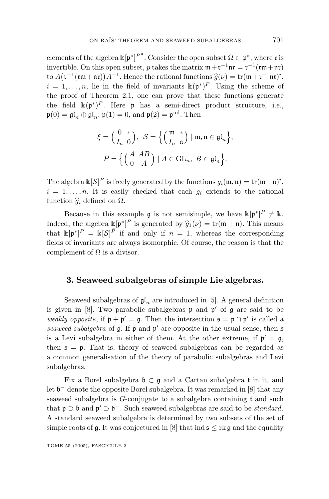elements of the algebra  $\Bbbk[\frak{p}^*]^{P^{\mathrm{u}}}$ . Consider the open subset  $\Omega\subset\frak{p}^*$ , where  $\frak{r}$  is invertible. On this open subset, *p* takes the matrix  $m + r^{-1}nr = r^{-1}(rm + nr)$ to  $A(\mathfrak{r}^{-1}(\mathfrak{r}\mathfrak{m}+\mathfrak{n}\mathfrak{r}))A^{-1}$ . Hence the rational functions  $\widehat{g}(\nu) = \text{tr}(\mathfrak{m}+\mathfrak{r}^{-1}\mathfrak{n}\mathfrak{r})^i$ ,<br>  $i = 1, \ldots, n$  lie in the field of invariants  $\mathbb{k}(\mathfrak{n}^*)^P$ . Using the scheme of  $i = 1, \ldots, n$ , lie in the field of invariants  $\kappa(\mathfrak{p}^*)^P$ . Using the scheme of the proof of Theorem 2.1, one can prove that these functions generate the field  $\kappa(\mathfrak{p}^*)^P$ . Here **p** has a semi-direct product structure, i.e.,  $\mathfrak{p}(0) = \mathfrak{gl}_n \oplus \mathfrak{gl}_n$ ,  $\mathfrak{p}(1) = 0$ , and  $\mathfrak{p}(2) = \mathfrak{p}^{\text{nil}}$ . Then

$$
\xi = \begin{pmatrix} 0 & * \\ I_n & 0 \end{pmatrix}, \quad \mathcal{S} = \left\{ \begin{pmatrix} \mathfrak{m} & * \\ I_n & \mathfrak{n} \end{pmatrix} \mid \mathfrak{m}, \mathfrak{n} \in \mathfrak{gl}_n \right\},
$$

$$
\overline{P} = \left\{ \begin{pmatrix} A & AB \\ 0 & A \end{pmatrix} \mid A \in \text{GL}_n, \ B \in \mathfrak{gl}_n \right\}.
$$

The algebra  $\mathbb{k}[\mathcal{S}]^{\bar{P}}$  is freely generated by the functions  $g_i(\mathfrak{m}, \mathfrak{n}) = \text{tr}(\mathfrak{m} + \mathfrak{n})^i$ ,  $i = 1, \ldots, n$ . It is easily checked that each  $g_i$  extends to the rational function  $\hat{g}_i$  defined on  $\Omega$ .

Because in this example  $\mathfrak g$  is not semisimple, we have  $\kappa[\mathfrak p^*]^P \neq \kappa$ . Indeed, the algebra  $\kappa[\mathfrak{p}^*]^P$  is generated by  $\hat{g}_1(\nu) = \text{tr}(\mathfrak{m} + \mathfrak{n})$ . This means that  $\kappa[\mathfrak{n}^*]^P - \kappa[\mathcal{S}]^{\bar{P}}$  if and only if  $n-1$  whereas the corresponding that  $\kappa[\mathfrak{p}^*]^P = \kappa[\mathcal{S}]^{\bar{P}}$  if and only if  $n = 1$ , whereas the corresponding fields of invariants are always isomorphic. Of course, the reason is that the complement of  $\Omega$  is a divisor.

#### **3. Seaweed subalgebras of simple Lie algebras.**

Seaweed subalgebras of  $\mathfrak{gl}_n$  are introduced in [5]. A general definition is given in [8]. Two parabolic subalgebras  $\mathfrak p$  and  $\mathfrak p'$  of  $\mathfrak g$  are said to be weakly opposite, if  $\mathfrak{p} + \mathfrak{p}' = \mathfrak{g}$ . Then the intersection  $\mathfrak{s} = \mathfrak{p} \cap \mathfrak{p}'$  is called a seaweed subalgebra of  $\mathfrak g$ . If  $\mathfrak p$  and  $\mathfrak p'$  are opposite in the usual sense, then  $\mathfrak s$ is a Levi subalgebra in either of them. At the other extreme, if  $p' = g$ , then  $s = p$ . That is, theory of seaweed subalgebras can be regarded as a common generalisation of the theory of parabolic subalgebras and Levi subalgebras.

Fix a Borel subalgebra  $\mathfrak{b} \subset \mathfrak{g}$  and a Cartan subalgebra t in it, and let b<sup>−</sup> denote the opposite Borel subalgebra. It was remarked in [8] that any seaweed subalgebra is *G*-conjugate to a subalgebra containing t and such that  $\mathfrak{p} \supset \mathfrak{b}$  and  $\mathfrak{p}' \supset \mathfrak{b}^-$ . Such seaweed subalgebras are said to be *standard*. A standard seaweed subalgebra is determined by two subsets of the set of simple roots of g. It was conjectured in [8] that ind  $s \leq r$  g and the equality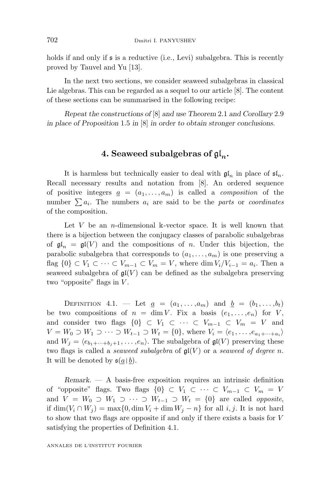holds if and only if  $\mathfrak s$  is a reductive (i.e., Levi) subalgebra. This is recently proved by Tauvel and Yu [13].

In the next two sections, we consider seaweed subalgebras in classical Lie algebras. This can be regarded as a sequel to our article [8]. The content of these sections can be summarised in the following recipe:

*Repeat the constructions of* [8] *and use Theorem* 2*.*1 *and Corollary* 2*.*9 *in place of Proposition* 1*.*5 *in* [8] *in order to obtain stronger conclusions.*

## **4. Seaweed subalgebras of** gl*n***.**

It is harmless but technically easier to deal with  $\mathfrak{gl}_n$  in place of  $\mathfrak{sl}_n$ . Recall necessary results and notation from [8]. An ordered sequence of positive integers  $\underline{a} = (a_1, \ldots, a_m)$  is called a *composition* of the number  $\sum a_i$ . The numbers  $a_i$  are said to be the parts or coordinates of the composition.

Let *V* be an *n*-dimensional k-vector space. It is well known that there is a bijection between the conjugacy classes of parabolic subalgebras of  $\mathfrak{gl}_n = \mathfrak{gl}(V)$  and the compositions of *n*. Under this bijection, the parabolic subalgebra that corresponds to  $(a_1, \ldots, a_m)$  is one preserving a flag  $\{0\} \subset V_1 \subset \cdots \subset V_{m-1} \subset V_m = V$ , where dim  $V_i/V_{i-1} = a_i$ . Then a seaweed subalgebra of  $\mathfrak{gl}(V)$  can be defined as the subalgebra preserving two "opposite" flags in *V* .

DEFINITION 4.1. — Let  $a = (a_1, ..., a_m)$  and  $b = (b_1, ..., b_t)$ be two compositions of  $n = \dim V$ . Fix a basis  $(e_1, \ldots, e_n)$  for *V*, and consider two flags  $\{0\} \subset V_1 \subset \cdots \subset V_{m-1} \subset V_m = V$  and *V* = *W*<sub>0</sub> ⊃ *W*<sub>1</sub> ⊃ ··· ⊃ *W*<sub>*t*-1</sub> ⊃ *W*<sub>*t*</sub> = {0}, where *V*<sub>*i*</sub> =  $\langle e_1, \ldots, e_{a_1 + \cdots + a_i} \rangle$ and  $W_j = \langle e_{b_1 + \cdots + b_j + 1}, \ldots, e_n \rangle$ . The subalgebra of  $\mathfrak{gl}(V)$  preserving these two flags is called a *seaweed subalgebra* of  $\mathfrak{gl}(V)$  or a *seaweed of degree n*. It will be denoted by  $\mathfrak{s}(\underline{a} \mid \underline{b})$ .

*Remark*. — A basis-free exposition requires an intrinsic definition of "opposite" flags. Two flags  $\{0\} \subset V_1 \subset \cdots \subset V_{m-1} \subset V_m = V$ and  $V = W_0 \supset W_1 \supset \cdots \supset W_{t-1} \supset W_t = \{0\}$  are called *opposite*, if dim( $V_i$  ∩  $W_j$ ) = max{0, dim  $V_i$  + dim  $W_j$  − *n*} for all *i, j*. It is not hard to show that two flags are opposite if and only if there exists a basis for *V* satisfying the properties of Definition 4.1.

ANNALES DE L'INSTITUT FOURIER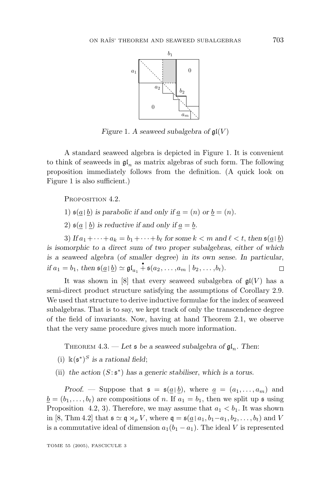

*Figure* 1*.* A seaweed subalgebra of  $\mathfrak{gl}(V)$ 

A standard seaweed algebra is depicted in Figure 1. It is convenient to think of seaweeds in  $\mathfrak{gl}_n$  as matrix algebras of such form. The following proposition immediately follows from the definition. (A quick look on Figure 1 is also sufficient.)

PROPOSITION 4.2.

- 1)  $\mathfrak{s}(a | b)$  is parabolic if and only if  $a = (n)$  or  $b = (n)$ .
- 2)  $\mathfrak{s}(\underline{a} \mid \underline{b})$  *is reductive if and only if*  $a = b$ *.*

3) *If*  $a_1 + \cdots + a_k = b_1 + \cdots + b_\ell$  for some  $k < m$  and  $\ell < t$ , then  $\mathfrak{s}(\underline{a} \mid \underline{b})$ *is isomorphic to a direct sum of two proper subalgebras*, *either of which is a seaweed algebra* (*of smaller degree*) *in its own sense. In particular*, *if*  $a_1 = b_1$ , then  $\mathfrak{s}(\underline{a} \mid \underline{b}) \simeq \mathfrak{gl}_{a_1} \stackrel{*}{\dash} \mathfrak{s}(a_2, \ldots, a_m \mid b_2, \ldots, b_t)$ .  $\Box$ 

It was shown in [8] that every seaweed subalgebra of  $\mathfrak{gl}(V)$  has a semi-direct product structure satisfying the assumptions of Corollary 2.9. We used that structure to derive inductive formulae for the index of seaweed subalgebras. That is to say, we kept track of only the transcendence degree of the field of invariants. Now, having at hand Theorem 2.1, we observe that the very same procedure gives much more information.

THEOREM  $4.3.$  — Let  $\mathfrak s$  be a seaweed subalgebra of  $\mathfrak{gl}_n$ . Then:

- (i)  $\Bbbk(s^*)^S$  *is a rational field*;
- (ii) the action  $(S:\mathfrak{s}^*)$  has a generic stabiliser, which is a torus.

*Proof.* — Suppose that  $\mathfrak{s} = \mathfrak{s}(\underline{a} | \underline{b})$ , where  $\underline{a} = (a_1, \ldots, a_m)$  and  $\underline{b} = (b_1, \ldots, b_t)$  are compositions of *n*. If  $a_1 = b_1$ , then we split up **s** using Proposition 4.2, 3). Therefore, we may assume that  $a_1 < b_1$ . It was shown in [8, Thm 4.2] that  $\mathfrak{s} \simeq \mathfrak{q} \rtimes_{\rho} V$ , where  $\mathfrak{q} = \mathfrak{s}(\underline{a} \mid a_1, b_1 - a_1, b_2, \ldots, b_t)$  and *V* is a commutative ideal of dimension  $a_1(b_1 - a_1)$ . The ideal *V* is represented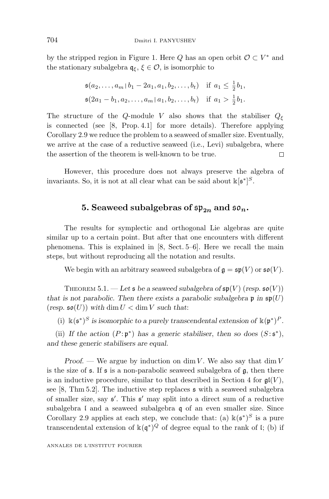by the stripped region in Figure 1. Here *Q* has an open orbit  $\mathcal{O} \subset V^*$  and the stationary subalgebra  $q_{\xi}$ ,  $\xi \in \mathcal{O}$ , is isomorphic to

$$
\mathfrak{s}(a_2, \dots, a_m \mid b_1 - 2a_1, a_1, b_2, \dots, b_t) \quad \text{if } a_1 \le \frac{1}{2}b_1,
$$
\n
$$
\mathfrak{s}(2a_1 - b_1, a_2, \dots, a_m \mid a_1, b_2, \dots, b_t) \quad \text{if } a_1 > \frac{1}{2}b_1.
$$

The structure of the *Q*-module *V* also shows that the stabiliser  $Q_{\xi}$ is connected (see [8, Prop. 4.1] for more details). Therefore applying Corollary 2.9 we reduce the problem to a seaweed of smaller size. Eventually, we arrive at the case of a reductive seaweed (i.e., Levi) subalgebra, where the assertion of the theorem is well-known to be true. П

However, this procedure does not always preserve the algebra of invariants. So, it is not at all clear what can be said about  $\kappa[\mathfrak{s}^*]^{S}$ .

#### **5. Seaweed subalgebras of**  $\mathfrak{sp}_{2n}$  **and**  $\mathfrak{so}_n$ **.**

The results for symplectic and orthogonal Lie algebras are quite similar up to a certain point. But after that one encounters with different phenomena. This is explained in [8, Sect. 5–6]. Here we recall the main steps, but without reproducing all the notation and results.

We begin with an arbitrary seaweed subalgebra of  $\mathfrak{g} = \mathfrak{sp}(V)$  or  $\mathfrak{so}(V)$ .

THEOREM 5.1. — Let  $\mathfrak s$  be a seaweed subalgebra of  $\mathfrak{sp}(V)$  (resp.  $\mathfrak{so}(V)$ ) *that is not parabolic. Then there exists a parabolic subalgebra*  $\mathfrak{p}$  in  $\mathfrak{sp}(U)$  $(r \exp \sin(\frac{U}{V}))$  with dim  $U < \dim V$  such that:

(i)  $\kappa(\mathfrak{s}^*)^S$  *is isomorphic to a purely transcendental extension of*  $\kappa(\mathfrak{p}^*)^P$ .

(ii) *If the action*  $(P:\mathfrak{p}^*)$  *has a generic stabiliser, then so does*  $(S:\mathfrak{s}^*)$ , *and these generic stabilisers are equal.*

*Proof*. — We argue by induction on dim *V* . We also say that dim *V* is the size of  $\epsilon$ . If  $\epsilon$  is a non-parabolic seaweed subalgebra of  $\epsilon$ , then there is an inductive procedure, similar to that described in Section 4 for  $\mathfrak{gl}(V)$ , see  $[8, Thm 5.2]$ . The inductive step replaces  $\mathfrak s$  with a seaweed subalgebra of smaller size, say  $\mathfrak{s}'$ . This  $\mathfrak{s}'$  may split into a direct sum of a reductive subalgebra I and a seaweed subalgebra q of an even smaller size. Since Corollary 2.9 applies at each step, we conclude that: (a)  $\kappa(s^*)^S$  is a pure transcendental extension of  $\kappa(\mathfrak{q}^*)^Q$  of degree equal to the rank of l; (b) if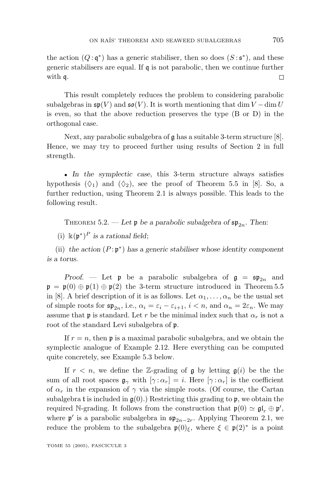the action  $(Q: \mathfrak{q}^*)$  has a generic stabiliser, then so does  $(S: \mathfrak{s}^*)$ , and these generic stabilisers are equal. If  $\mathfrak q$  is not parabolic, then we continue further with q.  $\Box$ 

This result completely reduces the problem to considering parabolic subalgebras in  $\mathfrak{sp}(V)$  and  $\mathfrak{so}(V)$ . It is worth mentioning that dim  $V - \dim U$ is even, so that the above reduction preserves the type (B or D) in the orthogonal case.

Next, any parabolic subalgebra of g has a suitable 3-term structure [8]. Hence, we may try to proceed further using results of Section 2 in full strength.

• *In the symplectic case*, this 3-term structure always satisfies hypothesis  $(\Diamond_1)$  and  $(\Diamond_2)$ , see the proof of Theorem 5.5 in [8]. So, a further reduction, using Theorem 2.1 is always possible. This leads to the following result.

THEOREM 5.2. — Let  $\mathfrak{p}$  be a parabolic subalgebra of  $\mathfrak{sp}_{2n}$ . Then:

(i) k(p<sup>∗</sup>)*<sup>P</sup> is a rational field*;

(ii) *the action* (*P* : p<sup>∗</sup>) *has a generic stabiliser whose identity component is a torus.*

*Proof.* — Let **p** be a parabolic subalgebra of  $g = sp_{2n}$  and  $\mathfrak{p} = \mathfrak{p}(0) \oplus \mathfrak{p}(1) \oplus \mathfrak{p}(2)$  the 3-term structure introduced in Theorem 5.5 in [8]. A brief description of it is as follows. Let  $\alpha_1, \ldots, \alpha_n$  be the usual set of simple roots for  $\mathfrak{sp}_{2n}$ , i.e.,  $\alpha_i = \varepsilon_i - \varepsilon_{i+1}$ ,  $i < n$ , and  $\alpha_n = 2\varepsilon_n$ . We may assume that **p** is standard. Let *r* be the minimal index such that  $\alpha_r$  is not a root of the standard Levi subalgebra of p.

If  $r = n$ , then  $\mathfrak p$  is a maximal parabolic subalgebra, and we obtain the symplectic analogue of Example 2.12. Here everything can be computed quite concretely, see Example 5.3 below.

If  $r < n$ , we define the Z-grading of g by letting  $g(i)$  be the the sum of all root spaces  $\mathfrak{g}_{\gamma}$  with  $[\gamma : \alpha_r] = i$ . Here  $[\gamma : \alpha_r]$  is the coefficient of  $\alpha_r$  in the expansion of  $\gamma$  via the simple roots. (Of course, the Cartan subalgebra t is included in  $g(0)$ .) Restricting this grading to p, we obtain the required N-grading. It follows from the construction that  $\mathfrak{p}(0) \simeq \mathfrak{gl}_r \oplus \mathfrak{p}'$ , where  $\mathfrak{p}'$  is a parabolic subalgebra in  $\mathfrak{sp}_{2n-2r}$ . Applying Theorem 2.1, we reduce the problem to the subalgebra  $\mathfrak{p}(0)_{\xi}$ , where  $\xi \in \mathfrak{p}(2)^*$  is a point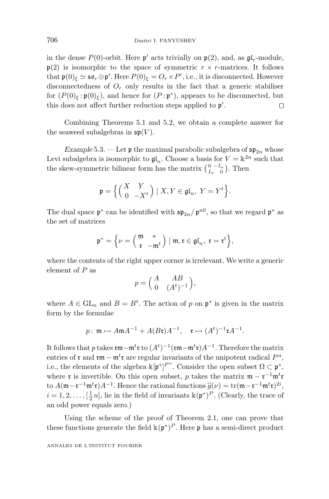in the dense  $P(0)$ -orbit. Here  $p'$  acts trivially on  $p(2)$ , and, as  $qI_r$ -module,  $p(2)$  is isomorphic to the space of symmetric  $r \times r$ -matrices. It follows that  $\mathfrak{p}(0)_{\xi} \simeq \mathfrak{so}_r \oplus \mathfrak{p}'$ . Here  $P(0)_{\xi} = O_r \times P'$ , i.e., it is disconnected. However disconnectedness of  $O_r$  only results in the fact that a generic stabiliser for  $(P(0)_{\epsilon}:\mathfrak{p}(0)_{\epsilon})$ , and hence for  $(P:\mathfrak{p}^*)$ , appears to be disconnected, but this does not affect further reduction steps applied to  $\mathfrak{p}'$ .  $\Box$ 

Combining Theorems 5.1 and 5.2, we obtain a complete answer for the seaweed subalgebras in  $\mathfrak{sp}(V)$ .

*Example* 5.3. — Let  $\mathfrak{p}$  the maximal parabolic subalgebra of  $\mathfrak{sp}_{2n}$  whose Levi subalgebra is isomorphic to  $\mathfrak{gl}_n$ . Choose a basis for  $V = \mathbb{k}^{2n}$  such that the skew-symmetric bilinear form has the matrix  $\begin{pmatrix} 0 & -I_n \\ I_n & 0 \end{pmatrix}$ . Then

$$
\mathfrak{p} = \Big\{ \Big( \begin{matrix} X & Y \\ 0 & -X^t \end{matrix} \Big) \mid X, Y \in \mathfrak{gl}_n, \ Y = Y^t \Big\}.
$$

The dual space  $\mathfrak{p}^*$  can be identified with  $\mathfrak{sp}_{2n}/\mathfrak{p}^{nil}$ , so that we regard  $\mathfrak{p}^*$  as the set of matrices

$$
\mathfrak{p}^* = \Big\{ \nu = \Big( \mathop{\mathfrak{m}}\limits_{\mathfrak{r}}^{\mathfrak{m}} \Big) \mid \mathfrak{m}, \mathfrak{r} \in \mathfrak{gl}_n, \ \mathfrak{r} = \mathfrak{r}^t \Big\},
$$

where the contents of the right upper corner is irrelevant. We write a generic element of *P* as

$$
p = \begin{pmatrix} A & AB \\ 0 & (At)^{-1} \end{pmatrix},
$$

where  $A \in GL_n$  and  $B = B^t$ . The action of p on  $\mathfrak{p}^*$  is given in the matrix form by the formulae

$$
p: \mathfrak{m} \mapsto A \mathfrak{m} A^{-1} + A(B \mathfrak{r}) A^{-1}, \mathfrak{r} \mapsto (A^t)^{-1} \mathfrak{r} A^{-1}.
$$

It follows that *p* takes rm−m*<sup>t</sup>* r to (*A<sup>t</sup>* )<sup>−</sup><sup>1</sup>(rm−m*<sup>t</sup>* r)*A*<sup>−</sup><sup>1</sup>. Therefore the matrix entries of **r** and **rm** − m<sup>t</sup>**r** are regular invariants of the unipotent radical  $P^u$ , i.e., the elements of the algebra  $\kappa[\mathfrak{p}^*]^{P^u}$ . Consider the open subset  $\Omega \subset \mathfrak{p}^*$ , where  $\mathfrak{r}$  is invertible. On this open subset, *p* takes the matrix  $\mathfrak{m} - \mathfrak{r}^{-1} \mathfrak{m}^t \mathfrak{r}$ to  $A(\mathfrak{m} - \mathfrak{r}^{-1} \mathfrak{m}^t \mathfrak{r}) A^{-1}$ . Hence the rational functions  $\widehat{g}(\nu) = \text{tr}(\mathfrak{m} - \mathfrak{r}^{-1} \mathfrak{m}^t \mathfrak{r})^{2i}$ ,<br>*i* − 1.2 [ $\frac{1}{2}n$ ] lie in the field of invariants  $\mathbb{k}(\mathfrak{n}^*)^P$ . (Clearly, the tr  $i = 1, 2, \ldots, \left[\frac{1}{2}n\right]$ , lie in the field of invariants  $\mathbb{k}(\mathfrak{p}^*)^P$ . (Clearly, the trace of an odd power equals zero.)

Using the scheme of the proof of Theorem 2.1, one can prove that these functions generate the field  $\mathbb{k}(\mathfrak{p}^*)^P$ . Here p has a semi-direct product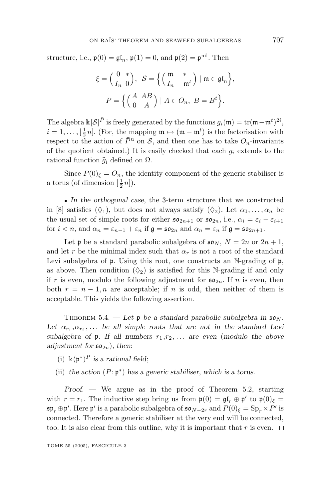structure, i.e.,  $\mathfrak{p}(0) = \mathfrak{gl}_n$ ,  $\mathfrak{p}(1) = 0$ , and  $\mathfrak{p}(2) = \mathfrak{p}^{\text{nil}}$ . Then

$$
\xi = \begin{pmatrix} 0 & * \\ I_n & 0 \end{pmatrix}, \quad \mathcal{S} = \left\{ \begin{pmatrix} \mathfrak{m} & * \\ I_n & -\mathfrak{m}^t \end{pmatrix} \mid \mathfrak{m} \in \mathfrak{gl}_n \right\},
$$

$$
\overline{P} = \left\{ \begin{pmatrix} A & AB \\ 0 & A \end{pmatrix} \mid A \in O_n, \ B = B^t \right\}.
$$

The algebra  $\mathbb{k}[\mathcal{S}]^{\bar{P}}$  is freely generated by the functions  $g_i(\mathfrak{m}) = \text{tr}(\mathfrak{m} - \mathfrak{m}^t)^{2i}$ ,  $i = 1, \ldots, \left[\frac{1}{2}n\right]$ . (For, the mapping  $\mathfrak{m} \mapsto (\mathfrak{m} - \mathfrak{m}^t)$  is the factorisation with respect to the action of  $\bar{P}^{\text{u}}$  on  $\mathcal{S}$ , and then one has to take  $O_n$ -invariants of the quotient obtained.) It is easily checked that each  $g_i$  extends to the rational function *<sup>g</sup><sup>i</sup>* defined on Ω.

Since  $P(0)$ <sub> $\xi$ </sub> =  $O_n$ , the identity component of the generic stabiliser is a torus (of dimension  $\left[\frac{1}{2}n\right]$ ).

• *In the orthogonal case*, the 3-term structure that we constructed in [8] satisfies  $(\Diamond_1)$ , but does not always satisfy  $(\Diamond_2)$ . Let  $\alpha_1, \ldots, \alpha_n$  be the usual set of simple roots for either  $\mathfrak{so}_{2n+1}$  or  $\mathfrak{so}_{2n}$ , i.e.,  $\alpha_i = \varepsilon_i - \varepsilon_{i+1}$ for  $i < n$ , and  $\alpha_n = \varepsilon_{n-1} + \varepsilon_n$  if  $\mathfrak{g} = \mathfrak{so}_{2n}$  and  $\alpha_n = \varepsilon_n$  if  $\mathfrak{g} = \mathfrak{so}_{2n+1}$ .

Let **p** be a standard parabolic subalgebra of  $\mathfrak{so}_N$ ,  $N = 2n$  or  $2n + 1$ , and let *r* be the minimal index such that  $\alpha_r$  is not a root of the standard Levi subalgebra of  $\mathfrak p$ . Using this root, one constructs an N-grading of  $\mathfrak p$ , as above. Then condition  $(\Diamond_2)$  is satisfied for this N-grading if and only if r is even, modulo the following adjustment for  $\mathfrak{so}_{2n}$ . If n is even, then both  $r = n - 1$ , *n* are acceptable; if *n* is odd, then neither of them is acceptable. This yields the following assertion.

THEOREM 5.4. — Let  $\mathfrak{p}$  be a standard parabolic subalgebra in  $\mathfrak{so}_N$ . Let  $\alpha_{r_1}, \alpha_{r_2}, \ldots$  be all simple roots that are not in the standard Levi subalgebra of  $\mathfrak{p}$ . If all numbers  $r_1, r_2, \ldots$  are even (modulo the above *adjustment for*  $\mathfrak{so}_{2n}$ *)*, *then*:

- (i) k(p<sup>∗</sup>)*<sup>P</sup> is a rational field*;
- (ii) *the action*  $(P:\mathfrak{p}^*)$  *has a generic stabiliser, which is a torus.*

*Proof*. — We argue as in the proof of Theorem 5.2, starting with  $r = r_1$ . The inductive step bring us from  $\mathfrak{p}(0) = \mathfrak{gl}_r \oplus \mathfrak{p}'$  to  $\mathfrak{p}(0)_{\xi} =$  $\mathfrak{sp}_r \oplus \mathfrak{p}'$ . Here  $\mathfrak{p}'$  is a parabolic subalgebra of  $\mathfrak{so}_{N-2r}$  and  $P(0)_\xi = \mathrm{Sp}_r \times P'$  is connected. Therefore a generic stabiliser at the very end will be connected, too. It is also clear from this outline, why it is important that  $r$  is even.  $\Box$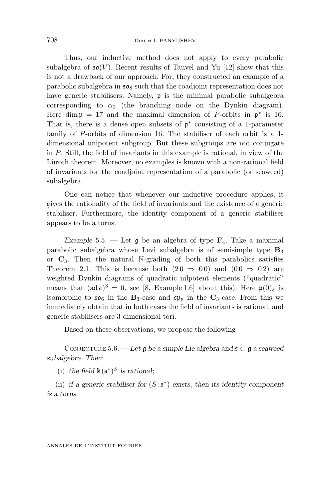Thus, our inductive method does not apply to every parabolic subalgebra of  $\mathfrak{so}(V)$ . Recent results of Tauvel and Yu [12] show that this is not a drawback of our approach. For, they constructed an example of a parabolic subalgebra in  $50<sub>8</sub>$  such that the coadjoint representation does not have generic stabilisers. Namely, **p** is the minimal parabolic subalgebra corresponding to  $\alpha_2$  (the branching node on the Dynkin diagram). Here dim  $p = 17$  and the maximal dimension of *P*-orbits in  $p^*$  is 16. That is, there is a dense open subsets of  $\mathfrak{p}^*$  consisting of a 1-parameter family of *P*-orbits of dimension 16. The stabiliser of each orbit is a 1 dimensional unipotent subgroup. But these subgroups are not conjugate in *P*. Still, the field of invariants in this example is rational, in view of the Lüroth theorem. Moreover, no examples is known with a non-rational field of invariants for the coadjoint representation of a parabolic (or seaweed) subalgebra.

One can notice that whenever our inductive procedure applies, it gives the rationality of the field of invariants and the existence of a generic stabiliser. Furthermore, the identity component of a generic stabiliser appears to be a torus.

*Example* 5.5. — Let  $\mathfrak{g}$  be an algebra of type  $\mathbf{F}_4$ . Take a maximal parabolic subalgebra whose Levi subalgebra is of semisimple type **B**<sup>3</sup> or  $C_3$ . Then the natural N-grading of both this parabolics satisfies Theorem 2.1. This is because both  $(20 \Rightarrow 00)$  and  $(00 \Rightarrow 02)$  are weighted Dynkin diagrams of quadratic nilpotent elements ("quadratic" means that  $(ad e)^3 = 0$ , see [8, Example 1.6] about this). Here  $\mathfrak{p}(0)_{\xi}$  is isomorphic to  $\mathfrak{so}_6$  in the **B**<sub>3</sub>-case and  $\mathfrak{sp}_6$  in the **C**<sub>3</sub>-case. From this we immediately obtain that in both cases the field of invariants is rational, and generic stabilisers are 3-dimensional tori.

Based on these observations, we propose the following

CONJECTURE 5.6. — Let  $\mathfrak g$  be a simple Lie algebra and  $\mathfrak s \subset \mathfrak g$  a seaweed *subalgebra. Then*:

(i) the field  $\mathbb{k}(s^*)^S$  *is rational*;

(ii) *if a generic stabiliser for*  $(S:\mathfrak{s}^*)$  *exists, then its identity component is a torus.*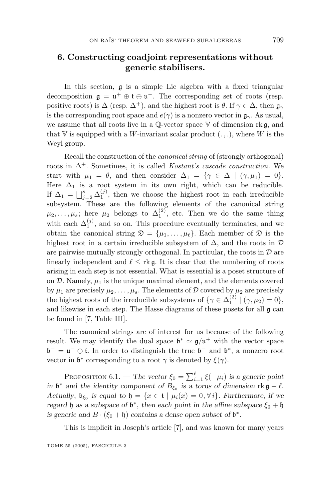### **6. Constructing coadjoint representations without genericstabilisers.**

In this section, g is a simple Lie algebra with a fixed triangular decomposition  $\mathfrak{g} = \mathfrak{u}^+ \oplus \mathfrak{t} \oplus \mathfrak{u}^-$ . The corresponding set of roots (resp. positive roots) is  $\Delta$  (resp.  $\Delta^+$ ), and the highest root is  $\theta$ . If  $\gamma \in \Delta$ , then  $\mathfrak{g}_{\gamma}$ is the corresponding root space and  $e(\gamma)$  is a nonzero vector in  $\mathfrak{g}_{\gamma}$ . As usual, we assume that all roots live in a  $\mathbb{Q}\text{-vector space }\mathbb{V}$  of dimension rk g, and that V is equipped with a *W*-invariant scalar product  $(.,.),$  where *W* is the Weyl group.

Recall the construction of the canonical string of (strongly orthogonal) roots in  $\Delta^+$ . Sometimes, it is called Kostant's cascade construction. We start with  $\mu_1 = \theta$ , and then consider  $\Delta_1 = {\gamma \in \Delta \mid (\gamma, \mu_1) = 0}.$ Here  $\Delta_1$  is a root system in its own right, which can be reducible. If  $\Delta_1 = \bigsqcup_{j=2}^s \Delta_1^{(j)}$ , then we choose the highest root in each irreducible subsystem. These are the following elements of the canonical string  $\mu_2, \ldots, \mu_s$ ; here  $\mu_2$  belongs to  $\Delta_1^{(2)}$ , etc. Then we do the same thing with each  $\Delta_1^{(j)}$ , and so on. This procedure eventually terminates, and we obtain the canonical string  $\mathfrak{D} = {\mu_1, \ldots, \mu_\ell}$ . Each member of  $\mathfrak D$  is the highest root in a certain irreducible subsystem of  $\Delta$ , and the roots in  $\mathcal D$ are pairwise mutually strongly orthogonal. In particular, the roots in  $\mathcal D$  are linearly independent and  $\ell \leq r \cdot k \cdot g$ . It is clear that the numbering of roots arising in each step is not essential. What is essential is a poset structure of on  $\mathcal{D}$ . Namely,  $\mu_1$  is the unique maximal element, and the elements covered by  $\mu_1$  are precisely  $\mu_2, \ldots, \mu_s$ . The elements of D covered by  $\mu_2$  are precisely the highest roots of the irreducible subsystems of  $\{\gamma \in \Delta_1^{(2)} \mid (\gamma, \mu_2) = 0\},\$ and likewise in each step. The Hasse diagrams of these posets for all g can be found in [7, Table III].

The canonical strings are of interest for us because of the following result. We may identify the dual space  $\mathfrak{b}^* \simeq \mathfrak{g}/\mathfrak{u}^+$  with the vector space  $\mathfrak{b}^- = \mathfrak{u}^- \oplus \mathfrak{t}$ . In order to distinguish the true  $\mathfrak{b}^-$  and  $\mathfrak{b}^*$ , a nonzero root vector in  $\mathfrak{b}^*$  corresponding to a root  $\gamma$  is denoted by  $\xi(\gamma)$ .

PROPOSITION 6.1. — *The vector*  $\xi_0 = \sum_{i=1}^{\ell} \xi(-\mu_i)$  *is a generic point in*  $\mathfrak{b}^*$  *and the identity component of*  $B_{\xi_0}$  *is a torus of dimension* rk  $\mathfrak{g} - \ell$ *. Actually*,  $\mathfrak{b}_{\xi_0}$  *is equal to*  $\mathfrak{h} = \{x \in \mathfrak{t} \mid \mu_i(x) = 0, \forall i\}$ *. Furthermore, if we regard*  $\mathfrak h$  *as a subspace of*  $\mathfrak b^*$ , *then each point in the affine subspace*  $\xi_0 + \mathfrak h$ *is generic and*  $B \cdot (\xi_0 + \mathfrak{h})$  *contains a dense open subset of*  $\mathfrak{b}^*$ *.* 

This is implicit in Joseph's article [7], and was known for many years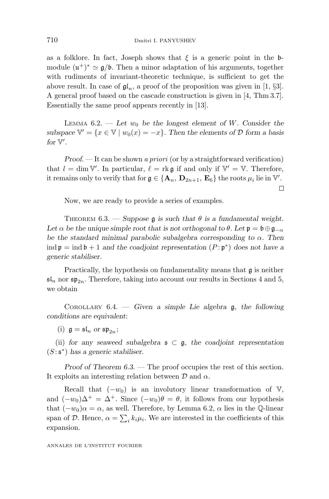as a folklore. In fact, Joseph shows that  $\xi$  is a generic point in the bmodule  $(\mathfrak{u}^+)^* \simeq \mathfrak{g}/\mathfrak{b}$ . Then a minor adaptation of his arguments, together with rudiments of invariant-theoretic technique, is sufficient to get the above result. In case of  $\mathfrak{gl}_n$ , a proof of the proposition was given in [1, §3]. A general proof based on the cascade construction is given in [4, Thm 3.7]. Essentially the same proof appears recently in [13].

LEMMA  $6.2.$  — Let  $w_0$  be the longest element of W. Consider the *subspace*  $\mathbb{V}' = \{x \in \mathbb{V} \mid w_0(x) = -x\}$ . Then the elements of D form a basis for  $V'$ .

*Proof.* — It can be shown a priori (or by a straightforward verification) that  $l = \dim \mathbb{V}'$ . In particular,  $\ell = \text{rk } \mathfrak{g}$  if and only if  $\mathbb{V}' = \mathbb{V}$ . Therefore, it remains only to verify that for  $g \in \{A_n, D_{2n+1}, E_6\}$  the roots  $\mu_i$  lie in  $\mathbb{V}'$ .  $\Box$ 

Now, we are ready to provide a series of examples.

THEOREM 6.3. — *Suppose*  $\mathfrak{g}$  *is such that*  $\theta$  *is a fundamental weight.* Let  $\alpha$  be the unique simple root that is not orthogonal to  $\theta$ . Let  $\mathfrak{p} = \mathfrak{b} \oplus \mathfrak{g}_{-\alpha}$ *be the standard minimal parabolic subalgebra corresponding to α. Then* ind  $\mathfrak{p} = \text{ind } \mathfrak{b} + 1$  *and the coadjoint representation*  $(P : \mathfrak{p}^*)$  *does not have a generic stabiliser.*

Practically, the hypothesis on fundamentality means that g is neither  $\mathfrak{sl}_n$  nor  $\mathfrak{sp}_{2n}$ . Therefore, taking into account our results in Sections 4 and 5, we obtain

COROLLARY 6.4. — *Given a simple Lie algebra* g, *the following conditions are equivalent*:

(i)  $\mathfrak{g} = \mathfrak{sl}_n$  or  $\mathfrak{sp}_{2n}$ ;

(ii) for any seaweed subalgebra  $\epsilon \in \mathfrak{g}$ , the coadjoint representation (*S*: s<sup>∗</sup>) *has a generic stabiliser.*

*Proof of Theorem 6.3.* — The proof occupies the rest of this section. It exploits an interesting relation between D and *α*.

Recall that  $(-w_0)$  is an involutory linear transformation of V, and  $(-w_0)\Delta^+ = \Delta^+$ . Since  $(-w_0)\theta = \theta$ , it follows from our hypothesis that  $(-w_0)\alpha = \alpha$ , as well. Therefore, by Lemma 6.2,  $\alpha$  lies in the Q-linear span of D. Hence,  $\alpha = \sum_{i} k_i \mu_i$ . We are interested in the coefficients of this expansion.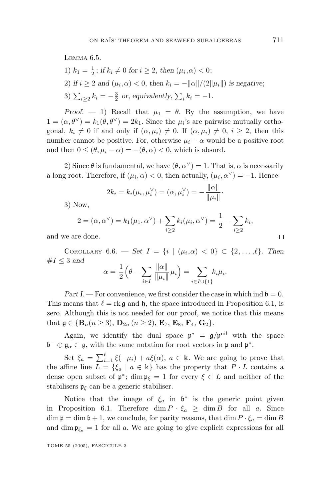1)  $k_1 = \frac{1}{2}$ ; *if*  $k_i \neq 0$  for  $i \geq 2$ , then  $(\mu_i, \alpha) < 0$ ; 2) *if*  $i \ge 2$  *and*  $(\mu_i, \alpha) < 0$ , *then*  $k_i = -||\alpha||/(2||\mu_i||)$  *is negative*; 3)  $\sum_{i \geq 2} k_i = -\frac{3}{2}$  *or*, *equivalently*,  $\sum_i k_i = -1$ *.* 

*Proof.* — 1) Recall that  $\mu_1 = \theta$ . By the assumption, we have  $1=(\alpha, \theta^{\vee})=k_1(\theta, \theta^{\vee})=2k_1$ . Since the  $\mu_i$ 's are pairwise mutually orthogonal,  $k_i \neq 0$  if and only if  $(\alpha, \mu_i) \neq 0$ . If  $(\alpha, \mu_i) \neq 0$ ,  $i \geq 2$ , then this number cannot be positive. For, otherwise  $\mu_i - \alpha$  would be a positive root and then  $0 \leq (\theta, \mu_i - \alpha) = -(\theta, \alpha) < 0$ , which is absurd.

2) Since  $\theta$  is fundamental, we have  $(\theta, \alpha^{\vee}) = 1$ . That is,  $\alpha$  is necessarily a long root. Therefore, if  $(\mu_i, \alpha) < 0$ , then actually,  $(\mu_i, \alpha^{\vee}) = -1$ . Hence

$$
2k_i = k_i(\mu_i, \mu_i^{\vee}) = (\alpha, \mu_i^{\vee}) = -\frac{\|\alpha\|}{\|\mu_i\|}.
$$

3) Now,

$$
2 = (\alpha, \alpha^{\vee}) = k_1(\mu_1, \alpha^{\vee}) + \sum_{i \geq 2} k_i(\mu_i, \alpha^{\vee}) = \frac{1}{2} - \sum_{i \geq 2} k_i,
$$

and we are done.

COROLLARY 6.6. — *Set*  $I = \{i \mid (\mu_i, \alpha) < 0\} \subset \{2, ..., \ell\}$ *. Then*  $#I \leq 3$  and  $\theta - \sum \frac{\|\alpha\|}{\alpha}$ 

$$
\alpha = \frac{1}{2} \left( \theta - \sum_{i \in I} \frac{\| \alpha \|}{\| \mu_i \|} \mu_i \right) = \sum_{i \in I \cup \{1\}} k_i \mu_i.
$$

*Part I.* — For convenience, we first consider the case in which ind  $\mathfrak{b} = 0$ . This means that  $\ell = \text{rk } \mathfrak{g}$  and  $\mathfrak{h}$ , the space introduced in Proposition 6.1, is zero. Although this is not needed for our proof, we notice that this means that  $g \in {\bf{B}}_n (n \ge 3)$ ,  ${\bf{D}}_{2n} (n \ge 2)$ ,  ${\bf{E}}_7$ ,  ${\bf{E}}_8$ ,  ${\bf{F}}_4$ ,  ${\bf{G}}_2$ .

Again, we identify the dual space  $\mathfrak{p}^* = \mathfrak{g}/\mathfrak{p}^{\text{nil}}$  with the space  $\mathfrak{b}^- \oplus \mathfrak{g}_\alpha \subset \mathfrak{g}$ , with the same notation for root vectors in p and p<sup>\*</sup>.

Set  $\xi_a = \sum_{i=1}^{\ell} \xi(-\mu_i) + a\xi(\alpha)$ ,  $a \in \mathbb{k}$ . We are going to prove that the affine line  $L = \{\xi_a \mid a \in \mathbb{k}\}\$  has the property that  $P \cdot L$  contains a dense open subset of  $\mathfrak{p}^*$ ; dim  $\mathfrak{p}_{\xi} = 1$  for every  $\xi \in L$  and neither of the stabilisers  $\mathfrak{p}_{\xi}$  can be a generic stabiliser.

Notice that the image of  $\xi_a$  in  $\mathfrak{b}^*$  is the generic point given in Proposition 6.1. Therefore dim  $P \cdot \xi_a \geq \dim B$  for all *a*. Since  $\dim \mathfrak{p} = \dim \mathfrak{b} + 1$ , we conclude, for parity reasons, that  $\dim P \cdot \xi_a = \dim B$ and dim  $\mathfrak{p}_{\xi_a} = 1$  for all *a*. We are going to give explicit expressions for all

TOME 55 (2005), FASCICULE 3

 $\Box$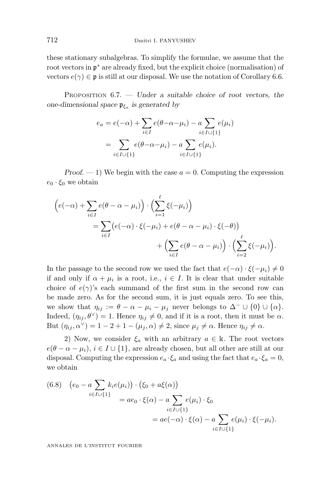these stationary subalgebras. To simplify the formulae, we assume that the root vectors in  $\mathfrak{p}^*$  are already fixed, but the explicit choice (normalisation) of vectors  $e(\gamma) \in \mathfrak{p}$  is still at our disposal. We use the notation of Corollary 6.6.

PROPOSITION 6.7. — *Under a suitable choice of root vectors*, *the one-dimensional space* p*ξ<sup>a</sup> is generated by*

$$
e_a = e(-\alpha) + \sum_{i \in I} e(\theta - \alpha - \mu_i) - a \sum_{i \in I \cup \{1\}} e(\mu_i)
$$
  
= 
$$
\sum_{i \in I \cup \{1\}} e(\theta - \alpha - \mu_i) - a \sum_{i \in I \cup \{1\}} e(\mu_i).
$$

*Proof.*  $-1$ ) We begin with the case  $a = 0$ . Computing the expression  $e_0 \cdot \xi_0$  we obtain

$$
\begin{split} \left(e(-\alpha) + \sum_{i \in I} e(\theta - \alpha - \mu_i)\right) \cdot \left(\sum_{i=1}^{\ell} \xi(-\mu_i)\right) \\ &= \sum_{i \in I} \left(e(-\alpha) \cdot \xi(-\mu_i) + e(\theta - \alpha - \mu_i) \cdot \xi(-\theta)\right) \\ &+ \left(\sum_{i \in I} e(\theta - \alpha - \mu_i)\right) \cdot \left(\sum_{i=2}^{\ell} \xi(-\mu_i)\right). \end{split}
$$

In the passage to the second row we used the fact that  $e(-\alpha) \cdot \xi(-\mu_i) \neq 0$ if and only if  $\alpha + \mu_i$  is a root, i.e.,  $i \in I$ . It is clear that under suitable choice of  $e(\gamma)$ 's each summand of the first sum in the second row can be made zero. As for the second sum, it is just equals zero. To see this, we show that  $\eta_{ij} := \theta - \alpha - \mu_i - \mu_j$  never belongs to  $\Delta^- \cup \{0\} \cup \{\alpha\}.$ Indeed,  $(\eta_{ij}, \theta^{\vee}) = 1$ . Hence  $\eta_{ij} \neq 0$ , and if it is a root, then it must be  $\alpha$ . But  $(\eta_{ij}, \alpha^{\vee}) = 1 - 2 + 1 - (\mu_j, \alpha) \neq 2$ , since  $\mu_j \neq \alpha$ . Hence  $\eta_{ij} \neq \alpha$ .

2) Now, we consider  $\xi_a$  with an arbitrary  $a \in \mathbb{k}$ . The root vectors  $e(\theta - \alpha - \mu_i), i \in I \cup \{1\}$ , are already chosen, but all other are still at our disposal. Computing the expression  $e_a \cdot \xi_a$  and using the fact that  $e_a \cdot \xi_a = 0$ , we obtain

(6.8) 
$$
(e_0 - a \sum_{i \in I \cup \{1\}} k_i e(\mu_i)) \cdot (\xi_0 + a \xi(\alpha))
$$
  
=  $ae_0 \cdot \xi(\alpha) - a \sum_{i \in I \cup \{1\}} e(\mu_i) \cdot \xi_0$   
=  $ae(-\alpha) \cdot \xi(\alpha) - a \sum_{i \in I \cup \{1\}} e(\mu_i) \cdot \xi(-\mu_i).$ 

ANNALES DE L'INSTITUT FOURIER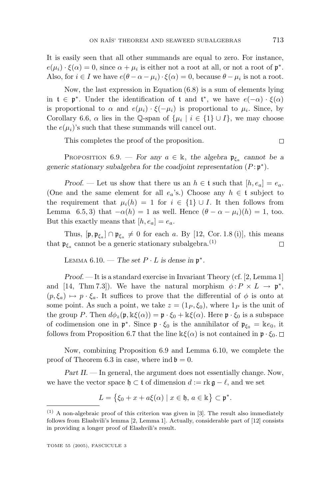It is easily seen that all other summands are equal to zero. For instance,  $e(\mu_i) \cdot \xi(\alpha) = 0$ , since  $\alpha + \mu_i$  is either not a root at all, or not a root of  $\mathfrak{p}^*$ . Also, for  $i \in I$  we have  $e(\theta - \alpha - \mu_i) \cdot \xi(\alpha) = 0$ , because  $\theta - \mu_i$  is not a root.

Now, the last expression in Equation (6.8) is a sum of elements lying in  $\mathfrak{t} \in \mathfrak{p}^*$ . Under the identification of  $\mathfrak{t}$  and  $\mathfrak{t}^*$ , we have  $e(-\alpha) \cdot \xi(\alpha)$ is proportional to  $\alpha$  and  $e(\mu_i) \cdot \xi(-\mu_i)$  is proportional to  $\mu_i$ . Since, by Corollary 6.6,  $\alpha$  lies in the Q-span of  $\{\mu_i \mid i \in \{1\} \cup I\}$ , we may choose the  $e(\mu_i)$ 's such that these summands will cancel out.

This completes the proof of the proposition.

PROPOSITION 6.9. — *For any*  $a \in \mathbb{k}$ , *the algebra*  $\mathfrak{p}_{\xi_a}$  *cannot be a generic stationary subalgebra for the coadjoint representation* (*P* : p<sup>∗</sup>)*.*

*Proof.* — Let us show that there us an  $h \in \mathfrak{t}$  such that  $[h, e_a] = e_a$ . (One and the same element for all  $e_a$ 's.) Choose any  $h \in \mathfrak{t}$  subject to the requirement that  $\mu_i(h) = 1$  for  $i \in \{1\} \cup I$ . It then follows from Lemma 6.5, 3) that  $-\alpha(h) = 1$  as well. Hence  $(\theta - \alpha - \mu_i)(h) = 1$ , too. But this exactly means that  $[h, e_a] = e_a$ .

Thus,  $[\mathfrak{p}, \mathfrak{p}_{\xi_a}] \cap \mathfrak{p}_{\xi_a} \neq 0$  for each *a*. By [12, Cor. 1.8 (i)], this means that  $\mathfrak{p}_{\xi_a}$  cannot be a generic stationary subalgebra.<sup>(1)</sup>  $\Box$ 

LEMMA  $6.10.$  — *The set*  $P \cdot L$  *is dense in*  $\mathfrak{p}^*$ *.* 

*Proof*. — It is a standard exercise in Invariant Theory (cf. [2, Lemma 1] and [14, Thm 7.3]). We have the natural morphism  $\phi: P \times L \to \mathfrak{p}^*$ ,  $(p,\xi_a) \mapsto p \cdot \xi_a$ . It suffices to prove that the differential of  $\phi$  is onto at some point. As such a point, we take  $z = (1_P, \xi_0)$ , where  $1_P$  is the unit of the group *P*. Then  $d\phi_z(\mathfrak{p}, \Bbbk\xi(\alpha)) = \mathfrak{p} \cdot \xi_0 + \Bbbk\xi(\alpha)$ . Here  $\mathfrak{p} \cdot \xi_0$  is a subspace of codimension one in  $\mathfrak{p}^*$ . Since  $\mathfrak{p} \cdot \xi_0$  is the annihilator of  $\mathfrak{p}_{\xi_0} = \mathbb{k}e_0$ , it follows from Proposition 6.7 that the line  $\Bbbk\xi(\alpha)$  is not contained in  $\mathfrak{p} \cdot \xi_0$ .  $\Box$ 

Now, combining Proposition 6.9 and Lemma 6.10, we complete the proof of Theorem 6.3 in case, where ind  $\mathfrak{b} = 0$ .

*Part II.* — In general, the argument does not essentially change. Now, we have the vector space  $\mathfrak{h} \subset \mathfrak{t}$  of dimension  $d := \text{rk } \mathfrak{g} - \ell$ , and we set

$$
L = \left\{ \xi_0 + x + a\xi(\alpha) \mid x \in \mathfrak{h}, a \in \mathbb{k} \right\} \subset \mathfrak{p}^*.
$$

 $\Box$ 

 $(1)$  A non-algebraic proof of this criterion was given in [3]. The result also immediately follows from Elashvili's lemma [2, Lemma 1]. Actually, considerable part of [12] consists in providing alonger proof of Elashvili's result.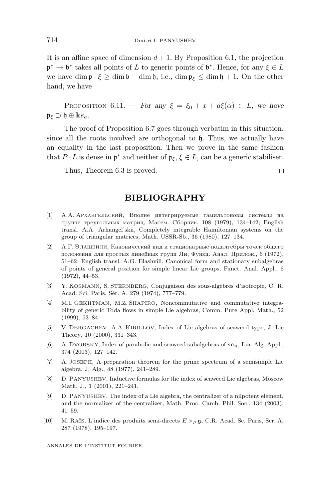It is an affine space of dimension  $d + 1$ . By Proposition 6.1, the projection p<sup>∗</sup> → b<sup>∗</sup> takes all points of *L* to generic points of b∗. Hence, for any *ξ* ∈ *L* we have dim  $\mathfrak{p} \cdot \xi \geq \dim \mathfrak{b} - \dim \mathfrak{h}$ , i.e.,  $\dim \mathfrak{p}_{\xi} \leq \dim \mathfrak{h} + 1$ . On the other hand, we have

PROPOSITION 6.11. — *For any*  $\xi = \xi_0 + x + a\xi(\alpha) \in L$ , we have  $\mathfrak{p}_{\varepsilon}$  ⊃  $\mathfrak{h} \oplus \mathbb{k} e_a$ *.* 

The proof of Proposition 6.7 goes through verbatim in this situation, since all the roots involved are orthogonal to h. Thus, we actually have an equality in the last proposition. Then we prove in the same fashion that  $P \cdot L$  is dense in  $\mathfrak{p}^*$  and neither of  $\mathfrak{p}_{\xi}, \xi \in L$ , can be a generic stabiliser.

Thus, Theorem 6.3 is proved.

#### **BIBLIOGRAPHY**

- [1] А.А. АРХАНГЕЛьСКИЙ, Вполне интегрируемые гамильтоновы системы на группе треугольных матриц, Матем. Сборник, 108 (1979), 134-142; English transl. A.A. Arhangel'skii, Completely integrable Hamiltonian systems on the group of triangular matrices, Math. USSR-Sb., 36 (1980), 127–134.
- [2] А.Г. Элашвили, Канонический вид и стационарные подалгебры точек общего положения для простых линейных групп Ли, Функц. Анал. Прилож., 6 (1972), 51–62; English transl. A.G. Elashvili, Canonical form and stationary subalgebras of points of general position for simple linear Lie groups, Funct. Anal. Appl., 6 (1972), 44–53.
- [3] Y. KOSMANN, S. STERNBERG, Conjugaison des sous-algèbres d'isotropie, C. R. Acad. Sci. Paris. Sér. A, 279 (1974), 777-779.
- [4] M.I. GEKHTMAN, M.Z. SHAPIRO, Noncommutative and commutative integrability of generic Toda flows in simple Lie algebras, Comm. Pure Appl. Math., 52 (1999), 53–84.
- [5] V. DERGACHEV, A.A. KIRILLOV, Index of Lie algebras of seaweed type, J. Lie Theory, 10 (2000), 331–343.
- [6] A. DVORSKY, Index of parabolic and seaweed subalgebras of so*n*, Lin. Alg. Appl., 374 (2003), 127–142.
- [7] A. JOSEPH, A preparation theorem for the prime spectrum of a semisimple Lie algebra, J. Alg., 48 (1977), 241–289.
- [8] D. PANYUSHEV, Inductive formulas for the index of seaweed Lie algebras, Moscow Math. J., 1 (2001), 221–241.
- [9] D. PANYUSHEV, The index of a Lie algebra, the centralizer of a nilpotent element, and the normalizer of the centralizer, Math. Proc. Camb. Phil. Soc., 134 (2003), 41–59.
- [10] M. RA¨IS, L'indice des produits semi-directs E ×*<sup>ρ</sup>* g, C.R. Acad. Sc. Paris, Ser. A, 287 (1978), 195–197.

ANNALES DE L'INSTITUT FOURIER

Ω